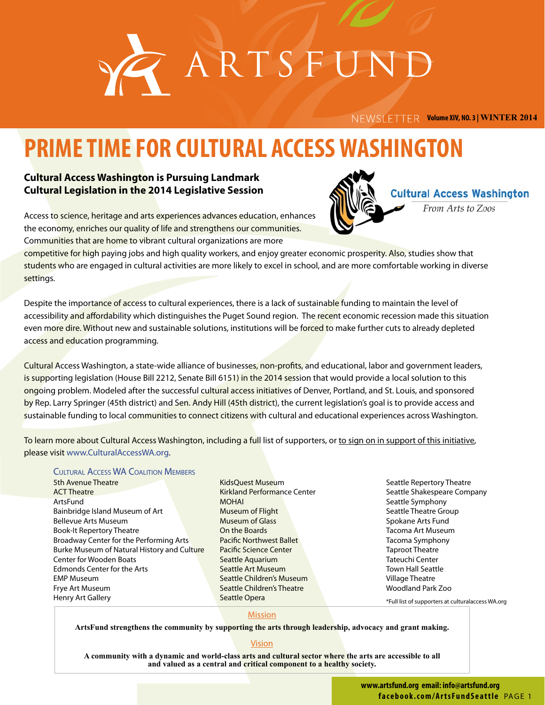

 **Volume XIV, NO. 3 | WINTER 2014**

# **PRIME TIME FOR CULTURAL ACCESS WASHINGTON**

## **Cultural Access Washington is Pursuing Landmark Cultural Legislation in the 2014 Legislative Session**



**Cultural Access Washington** 

From Arts to Zoos

Access to science, heritage and arts experiences advances education, enhances the economy, enriches our quality of life and strengthens our communities. Communities that are home to vibrant cultural organizations are more

competitive for high paying jobs and high quality workers, and enjoy greater economic prosperity. Also, studies show that students who are engaged in cultural activities are more likely to excel in school, and are more comfortable working in diverse settings.

Despite the importance of access to cultural experiences, there is a lack of sustainable funding to maintain the level of accessibility and affordability which distinguishes the Puget Sound region. The recent economic recession made this situation even more dire. Without new and sustainable solutions, institutions will be forced to make further cuts to already depleted access and education programming.

Cultural Access Washington, a state-wide alliance of businesses, non-profits, and educational, labor and government leaders, is supporting legislation (House Bill 2212, Senate Bill 6151) in the 2014 session that would provide a local solution to this ongoing problem. Modeled after the successful cultural access initiatives of Denver, Portland, and St. Louis, and sponsored by Rep. Larry Springer (45th district) and Sen. Andy Hill (45th district), the current legislation's goal is to provide access and sustainable funding to local communities to connect citizens with cultural and educational experiences across Washington.

To learn more about Cultural Access Washington, including a full list of supporters, or to sign on in support of this initiative, please visit www.CulturalAccessWA.org.

#### Cultural Access WA Coalition Members

5th Avenue Theatre ACT Theatre ArtsFund Bainbridge Island Museum of Art Bellevue Arts Museum Book-It Repertory Theatre Broadway Center for the Performing Arts Burke Museum of Natural History and Culture Center for Wooden Boats Edmonds Center for the Arts EMP Museum Frye Art Museum Henry Art Gallery

KidsQuest Museum Kirkland Performance Center MOHAI Museum of Flight Museum of Glass On the Boards Pacific Northwest Ballet Pacific Science Center Seattle Aquarium Seattle Art Museum Seattle Children's Museum Seattle Children's Theatre Seattle Opera

Seattle Repertory Theatre Seattle Shakespeare Company Seattle Symphony Seattle Theatre Group Spokane Arts Fund Tacoma Art Museum Tacoma Symphony Taproot Theatre Tateuchi Center Town Hall Seattle Village Theatre Woodland Park Zoo

\*Full list of supporters at culturalaccess WA.org

#### Mission

**ArtsFund strengthens the community by supporting the arts through leadership, advocacy and grant making.**

#### **Vision**

**A community with a dynamic and world-class arts and cultural sector where the arts are accessible to all and valued as a central and critical component to a healthy society.**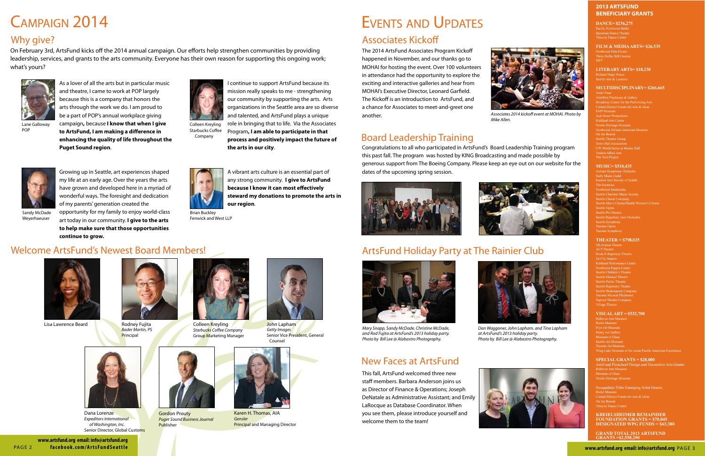# Campaign 2014

### **2013 ArtsFund Beneficiary Grants**

**DANCE= \$236,275** Velocity Dance Center

**FILM & MEDIA ARTS= \$26,535**  Northwest Film Forum Three Dollar Bill Cinema SIFF

### **LITERARY ARTS= \$18,230**

Richard Hugo House Seattle Arts & Lectures

#### **MULTIDISCIPLINARY= \$266,665**

Artist Trust ArtsWest Playhouse & Gallery Broadway Center for the Performing Arts Central District Forum for Arts & Ideas EMP Museum Jack Straw Productions Kirkland Arts Center **Northwest African American Museum** On the Boards Seattle Theatre Grou Town Hall Association UW World Series at Meany Hall Vashon Allied Arts The Vera Project

5th Avenue Theatr ACT Theatre **Book-It Repertory Theat** Jet City Impro Kirkland Performance Center Northwest Puppet Center Seattle Children's Theatre Seattle Musical Theatre Seattle Public Theatre Seattle Repertory Theatre Seattle Shakespeare Company Taproot Theatre Company Village Theatre

#### **MUSIC= \$518,435**

Snoqualmie Tribe Emerging Artist Grants: Burke Museum Central District Forum for Arts & Ideas On the Boards Velocity Dance Cente

Auburn Symphony Orchestra Early Music Guild Seattle Chamber Music Sor Seattle Choral Compa Seattle Opera Seattle Pro Musica Seattle Symphony Tacoma Opera Tacoma Symphony

**GRAND TOTAL 2013 ARTSFU Grants =\$2,558,290**



Dana Lorenze *Expeditors International of Washington, Inc.* Senior Director, Global Customs

#### **THEATER = \$798,025**

#### **VISUAL ART = \$532,700**

Bellevue Arts Museu Burke Museum Tacoma Art Museum Wing Luke Museum of the Asian Pacific American Experie

#### **SPECIAL GRANTS = \$28,000**

ArtsFund Plestcheef Design and Decorative Arts Grants: **Bellevue Arts Museur** Museum of Glass

Nordic Heritage Museur

#### **Kreielsheimer REMAINDER FOUNDATION GRANTS = \$70,045 DESIGNATED WPG FUNDS = \$63,380**

# Associates Kickoff



Colleen Kreyling *Starbucks Coffee Company* Group Marketing Manager



Gordon Prouty *Puget Sound Business Journal* Publisher

Lisa Lawrence Beard



Rodney Fujita *Bader Martin, PS* Principal

# Welcome ArtsFund's Newest Board Members!





Karen H. Thomas, AIA *Gensler*  Principal and Managing Director

As a lover of all the arts but in particular music and theatre, I came to work at POP largely because this is a company that honors the arts through the work we do. I am proud to be a part of POP's annual workplace giving campaign**,** because **I know that when I give to ArtsFund, I am making a difference in** 

**enhancing the quality of life throughout the** 

**Puget Sound region**.



Lane Galloway POP

I continue to support ArtsFund because its mission really speaks to me - strengthening our community by supporting the arts. Arts organizations in the Seattle area are so diverse and talented, and ArtsFund plays a unique role in bringing that to life. Via the Associates Program**, I am able to participate in that process and positively impact the future of** 

**the arts in our city**.

Colleen Kreyling Starbucks Coffee Company



Weyerhaeuser

Brian Buckley Fenwick and West LLP

On February 3rd, ArtsFund kicks off the 2014 annual campaign. Our efforts help strengthen communities by providing leadership, services, and grants to the arts community. Everyone has their own reason for supporting this ongoing work; what's yours?





*Associates 2014 kickoff event at MOHAI. Photo by* 





*Mike Allen.*



*Dan Waggoner, John Lapham, and Tina Lapham at ArtsFund's 2013 holiday party. Photo by Bill Lee @ Alabastro Photography.*





*Mary Snapp, Sandy McDade, Christine McDade, and Rod Fujita at ArtsFund's 2013 holiday party. Photo by Bill Lee @ Alabastro Photography.*

# New Faces at ArtsFund

This fall, ArtsFund welcomed three new staff members. Barbara Anderson joins us as Director of Finance & Operations; Joseph DeNatale as Administrative Assistant; and Emily LaRocque as Database Coordinator. When you see them, please introduce yourself and welcome them to the team!

# ArtsFund Holiday Party at The Rainier Club

# Board Leadership Training

Congratulations to all who participated in ArtsFund's Board Leadership Training program this past fall. The program was hosted by KING Broadcasting and made possible by generous support from The Boeing Company. Please keep an eye out on our website for the dates of the upcoming spring session.





The 2014 ArtsFund Associates Program Kickoff happened in November, and our thanks go to MOHAI for hosting the event. Over 100 volunteers in attendance had the opportunity to explore the exciting and interactive galleries and hear from MOHAI's Executive Director, Leonard Garfield. The Kickoff is an introduction to ArtsFund, and a chance for Associates to meet-and-greet one another.

Growing up in Seattle, art experiences shaped my life at an early age. Over the years the arts have grown and developed here in a myriad of wonderful ways. The foresight and dedication of my parents' generation created the opportunity for my family to enjoy world-class art today in our community. **I give to the arts to help make sure that those opportunities** 

**continue to grow.**

A vibrant arts culture is an essential part of any strong community. **I give to ArtsFund because I know it can most effectively steward my donations to promote the arts in our region**.

# Why give?

# Events and Updates



*Getty Images* Senior Vice President, General Counsel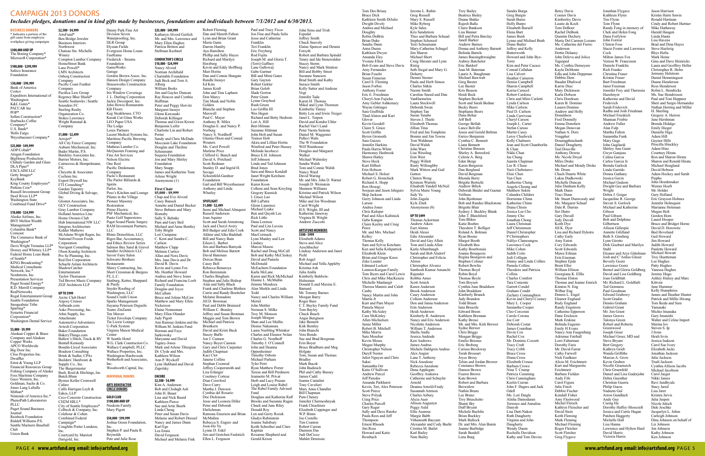oughlin Porter Lundeen, Inc. Courtyard by Marriott Darigold, Inc.

gift came from employee workplace giving campaigns

#### **Business Donors** \* Indicates a portion of the

Bank of America Costco Expeditors International of Washington K&L Gates<sup>\*</sup> PACCAR Inc POP\* Sellen Construction\* Starbucks Coffee Company\* U.S. Bank\* Wells Fargo

**\$300,000 and up** The Boeing Company\*

#### Weyerhaeuser Company\* **\$1,000 - \$2,499** Aeroiet<sup>\*</sup>

Microsoft Corporation\* **\$100,000 - \$299,999**

#### Safeco Insurance Foundation

#### \$**50,000 - \$99,999**

**\$25,000 - \$49,999** ADP/Cobalt\* Amgen Foundation BigHouse Production Chihuly Garden and Glass DLA Piner\* EXCLAIM LLC Getty Images<sup>\*</sup> KeyBank King County Employees\* Perkins Coie\* Russell Investment Group Stoel Rives LLP\* Washington State Combined Fund Drive\*

Management<sup>\*</sup> Columbia Bank\* Comcast The Commerce Bank of Washington\* Davis Wright Tremaine LLP\* Dorsey and Whitney LLP\* Federal Home Loan Bank of Seattle\* KING Broadcasting\* Medical Consultants Network, Inc.\* Nordstrom, Inc. Presentation Services Puget Sound Energy\* R.D. Merrill Company RealNetworks Regal Entertainment Group Seattle Foundation Snoqualmie Tribe Sparling\* Symetra Financial Corporation\* Washington Dental Service **\$5,000 - \$9,999**

#### **\$10,000 - \$24,999** Alaska Airlines, Inc. BNY Mellon Wealth

HomeStreet Bank Lane Powell\* LMN Architects Osberg Construction Company Pacific Coast Feather Company Pacifica Law Group

Sounders FC Sterling Realty Organization Co. Stokes Lawrence Wright Runstad & **Company** 

Cochran Inc. Expert Drywall Inc FTI Consulting\* Garden Tapestr

Alaskan Copper & Brass Company and Alaskan Copper Works APCO Worldwide Big Door Inc. Clise Properties Inc. Dwaffler Ernst & Young LLP Financial Resources Group Fishing Company of Alaska Foss Maritime Company Gaco Western, Inc. Goldman, Sachs & Co. Jones Lang LaSalle Mithun\* Nintendo of America Inc.\* PhenoPath Laboratories PLLC Puget Sound Business Journal Raisbeck Foundation Riddell Williams P.S. Seattle Mariners Baseball Club Union Bank

Supply Co., Inc. The Burgermaster

**\$2,500 - \$4,999** ArtsFund\* Ben Bridge Jeweler Business Interiors Northwest

Winery

Bader Martin, P.S.

Barrier Motors, Inc.

P.S.

GLY Construction

Home Owners Club

Kidder Mathews

Corporation Navigant Consulting

Pro Se Planning, Inc. Red Dot Corporation

ShadowCatcher Entertainment Taylor-Thomason

ZGF Architects LLP

**Up to \$999** Arctic Club Hotel Argosy Cruises Artbeads.com

Atlas Supply, Inc. Attachmate

Avtech Corporation Baker Foundation BakeryThings.com

Bentall Kennedy

Bradson Consulting

Butch Blum

Cafaro

Eakes, LLP

CH2M HILL\* City of Seattle Employees\* Colbeck & Company, Inc. Colehour & Cohen Combined Federal Campaign\*

Chateau Ste. Michelle Compton Lumber Company Regence Blue Shield\* Seattle Seahawks | Seattle All City Fence Company Auburn Mechanical, Inc. Bardsley Associates Inc. Cairncross & Hempelmann, Cheyette & Associates Global Diving & Salvage, Inc. Glosten Associates, Inc. Gray Lumber Company Holland America Line Hub International NW LLC Integrus Architecture McAdams Wright Ragen, Inc. National Frozen Foods Olson Kundig Architects Schacht Aslani Architects Ted Brown Music Company Asko Processing, Inc. Automotive Adventures Ballew's Hitch, Truck & RV Boudin-Lloyd Associates Brink & Sadler, CPAs Builders' Hardware & Bush, Roed & Hitchings, Inc. Byrnes Keller Cromwell Calfo Harrigan Leyh & Ceco Concrete Construction Denny Park Fine Art Division Seven Waterproofing, Inc. DLR Group Elysian Field Evergreen Home Loans Fastframe Frederick - Stearns Foundatio GameWorks Garage Gordon Brown Assoc. Inc. Hansen Design Company Houseworks Construction Company Iris Window Coverings J. L. Darling Corporation Jackie Davenport, Inc. John Howie Restaurants KB Floors Keg Steakhouse, CTO Kusak Cut Glass Works LEO Paper USA The Lodge Lorax Partners Lucent Medical Systems Inc. Maritime Pacific Brewing Company Matheus Lumber Co. McQuesten Framing and Fine Art Services Nelson Electric One Reel Pacific Denkmann Company Paolo's Restaurar The Parlor Billiards & Spirits Parlor, Inc. Peso's Kitchen and Lounge Pilates in the Village Pioneer Masonry Restoration Prime Electric PSF Mechanical, Inc. Puetz Golf Superstores Puget Sound Plastic Surgery RAM Investment Partners, LLC Rhine Demolition, LLC Rigos Bar, Accountancy, and Ethics Review Series Salmon Bay Sand & Gravel Sandler Architects LLC Savoir Faire Salon Schwartz Brothers Restaurants Shirey Contracting, Inc. Short Cressman & Burgess P.L.L.C. Simburg, Ketter, Sheppard & Purdy Snyder Roofing of Washington, LLC Sound Credit Union Sparks Management Suyama Peterson Deguchi Teatro ZinZanni Ten Mercer Ticket Envelope Company Tin Lizzie Lounge U-Park System Virginia Mason Medical Center W Seattle Hotel W.G. Clark Construction Co. Wallace Campbell, PLLC Wallace Properties, Inc. Washington Hardwoods Wetherholt and Associates, Inc. Woodworth Capital, Inc. **Individual Donors ARTS BENEFACTOR CIRCLE DONORS Gold Club \$100,000 and up**

> Mary Pigott **\$50,000 - \$99,999** Joshua Green Foundation,

Inc.

John Sims and Trish Espedal Jeffrey Smith Chuck Snavely Elaine Spencer and Dennis Forsyth Robert and Barbara Spindel Tenny and Ida Stenerodden Stacey Storm Nancy and Mark Stratton Bill and Bobby Street Suzanne Suneson Brad Smith and Kathy Surace-Smith Kelly Sutter and Andreas Vogt Jennifer Tada Karen H. Thomas Mikal and Lynn Thomsen Kimberlie Tinney Betty Lou and Irwin Treige Janet L. Turpen David and Kendra Uhler Rachel Van't Land Peter Vaoita Suitonu Daniel M. Waggoner Pallavi Wahi The W Foundation Wilf Wainhou Douglas and Margaret Walker Michael Walmsley Sandra Walsh Tom and Connie Walsh Nancy Ward David Waring Mr. and Mrs. John D. Warner Joseph D. Weinstein Shannon Williams Kristine and Patrick Wilson Michael Wilson Mike and Jen Woodman Carol Wright H.S. Wright, III and Katherine Janeway Virginia B. Wright Andrew Zuccotti **ArtsFund Members \$500 - \$999** Elizabeth Adams Steve and Alice Aeschbacher Lindsay Anderson and Janet Piehl Rob Angel Michael and Yella Appleb Kristina Ash Julia Atalla Kimberly Baldwin-Hulseman Donald E.and Maxine E. Barnard Mr. Tommy Barnes Morgan Barry Roger Bass C.T. Bayley Family Fund Tom Bayley Chuck Beach Angie Bengtson Jake Bennett Kirk Bentley John Bianchi Vera Bonds Sue and Brad Borgman Erin Boyer Bruce Bradburn and Meg Holgate Tom, Susan and Thomas Bradley Mark Bucek John Budinich Phil and Cathy Bussey James Cadd Jeanne Cantalini Tony Cavelieri Mary Anne Chandle Bill Chapman Pam Cheney Jennifer Chermoshnyuk Frank Chiachiere Elizabeth Coppinger and W.P. Binns Joe Costello Tim Cranton Robert Curran Daemon Das Judi DeCicco Mahlet Demis

Stephen P. and Paula R. Reynolds Pete and Julie Rose

Neukom Family **\$25,000 - \$49,999** Katharyn Alvord Gerlich Mr. and Mrs. Lawrence and Mary Ellen Hughes Patricia Britton and **\$10,000 - \$24,999** Nancy Alvord Alberg William Beeks Huffman Glenn Kawasak Benjamin Leifer Porter Scheu Foundation Mary Snapp Arlene Wright Anonymous (1) **First Chair \$5,000 - \$9,999** Casey Banack **Hornsby** Sally S. Behnke Toby Bright Lori Campana Carlson Matthew Clapp Melanie Curtice David R. Davis McCallum Nickerson Elaine Nonner Judy Pigott Sarkowsky Tagney-Jones Ann P. Wyckoff Zapolsky **ENCORE \$2,500 - \$4,999** John H. Baue Kathleen Pierce

Michael and Melanie Fink

Robert Fleming Dan and Mareth Fulton Lynn and Brian Grant Maria Gunn

Stellman Keehnel **CONDUCTOR'S CIRCLE** Norman Archibald Charitable Foundation Judi Beck and Tom A. Jim and Gaylee Duncan Ray Heacox and Cynthia Peter and Peggy Horvitz Margaret Inouye Deborah Killinger Thomas and Gwen Kroon Charlotte Lin and Rober Sandy and Chris McDade Moccasin Lake Foundation Douglas and Theiline Sequoia Foundation Jon and Mary Shirley James and Katherine Tune Chap and Eve Alvord Annette and Daniel Becker Steve Behnen and Mary Pam and Gary Beil Michael and Anne Bentley C. Kent and Sandra C. Allan and Nora Davis Mrs. Jane Davis and Dr. Kevin and Lynne Fox Ms. Heather Howard Andrea and Steve Jones Richard and Francine Loeb Family Foundation Douglas and Joyce Bruce and Jolene McCaw Matthew and Mary Ellen Mary Ellen Olander Ann Ramsay-Jenkins and the William M. Jenkins Fund Herman and Faye Maryanne and David Mark and Arlene Tibergien Dr. Clyde and Mrs. Kathleen Wilson Lynn Hubbard and David Kim A. Anderson Bob and Clodagh Ash Lisa and Nick Beard Sue and Artie Buerk Linda Cheng Peter and Susan Davis Melanie and Robert Dressel Nancy and James Dunn Karl Ege Lea Ennis David Ferguson Darren Hamby Aya Hamilton Phillip and Sally Hayes Richard and Marilyn Herzberg Kevin and Eddy Hoffberg Mari Horita Dan and Connie Hungate Randle Inouye Ed Kim James Kraft John and Tina Lapham Don Marcy Tim Mauk and Noble Golden Blanche and Stephen Maxwell Paul C. Mayer Anthony R. Miles Douglas E. and Nancy I. Norberg Nancy S. Nordhoff Glenna Olson and Conrad **Wouters** Ms. Carol Powell Marlene Price Clifford G. Bunch and David A. Pritchard Scott Redman Stanley D. and Ingrid H. Savage Schoenfeld-Gardne Foundation Gail and Bill Weyerhaeuser Anthony and Linda Whatley **Spotlight \$1,000 - \$2,499** Sumi and Michael Almquist Russell Anderson **Joan Aquino** Scott and Sarah Armstrong Jack and Cheryl Avery Bill Badger and Edie Cook Akhtar and Alka Badshah Bill and Nancy Bain Eileen L. Barber Jim and Barbara Barnyak Bob and Melisse Barrett David Bateman Dorcas Bean Casey Bell Rebecca Benaroya Ron Berenstain Charles Bingham Stephen and Julie Bishop Alan and Sally Black Frank and Charlene Blethen Carrie and Randy Boettcher Melanie Bonadore Jill D. Bowman Paul and Debbi Brainerd William C. Branley Jeffrey and Susan Brotman Maggie and Tom Brown Michael and Patricia Brustkern David and Kristi Buck Stacey Buffo Jon J. Cannon Nancy Beyer Cannon Gary and Chris Carpenter Judith Chapman Kaci Clot Janene Collins Stephan Coonrod Jeffrey Coopersmith and Lisa Erlanger Courtney Cortese Dian Crawford Dave Curry Martha J. Dawson Cynthia del Rosario Dee Dickinson Jesse and Leonora Diller Peter and Deborah Ehrlichman Ramona Emerson and Brian McMullen Rebecca S. Engrav and Joon-Ho Yu Lynne D. Eskil Jim and Gretchen Faulstich

Ellen L. Ferguson

Donna and Anthony Barnet Jessie and Gerald Beltran Deborah Binder and Gaetan Bob and Randee Blackston Sydney J. Buckley Blank Mr. and Mrs. Kirk Brewer Telsin and Jordan Brower Sandra Burga Torre K Chan Yan Chen Collins Joe Corr Odell Danysh

Paul and Tracy Ficca Jon Fine and Paula Selis Jesse and Catherine Franklin Teri Franklin Eric Freyberg Rod Fujita Joseph M. and Gloria T. (Terri) Gaffney Lane Galloway Gabe Gartner Bill and Mimi Gates Gary Gayton Robert Gekler Brian Golob Slade Gorton Peter Grant Lynne Graybeal Rush Green Leo Griffin III Wes Hagen Richard and Betty Hedreen Lori A. Hill Bret Hilman Suzanne Hittman John Holt and Susan Trainor Holt Akira and Lillian Horita Winifred and Peter Hussey Melinda Iacolucci Bruce E.H. Johnson Jeff Johnson Linda and Ted Johnso Brad Jones Sara and Bruce Kendall Janet Wright Ketcham Foundation Karen Koon Colleen and Sean Kreyling Gregory Kusnick I. Grace Lao Bill LaPatra Glenn Laurence Michael Leake Ben and Quynh Lee Rick Little Dana Lorenze Paul and Lita Luvera Scott and Nancy **MacCormack** Lynn Manley and Lex Lindsey Marcia Mason Rachel and Doug McCall Bob and Kathy McCleskey David and Pamela McDonald McEachern Foundation Karla McLane Karen and Rick McMichael Dianne L. McMullin Jimmie Mendoza Alan Merkle and Linda Todd Nancy and Charles William Mertel John Mettler Norman S. Milks Troy M. Monson Joseph Morgan Shan and Lee Mullin Denise Nakamura Laura Neebling Whitake Charles and Eleanor Nolan Charles G. Nordhoff Timothy J. O'Connell John and Deanna Oppenheimer Timothy Osborn Michael Parham Tyler Petri Ryan Matthew Porter Teresa and Bill Predmore Jeannette M. Privat Herb and Lucy Pruzan Leigh and Louise Rabe The Rabel Family Advised Fund Douglass and Katherine Raff Brooks and Suzanne Ragen Chuck and Jane Riley Donald Roy Len and Gerry Rozek Gladys Rubinstein Joanne Salisbury Keith Schreiber and Clare Kapitan Roxanne Shepherd and Gerald Kroon

## Campaign 2013 Donors

#### *Includes pledges, donations and in kind gifts made by businesses, foundations and individuals between 7/1/2012 and 6/30/2013.*

Tom Des Brisay Bruce Dick Kathleen Smith DiJulio Dwight Dively Andrea and Michael Doughty Robin DuBrin Brian Duke Sandra Dunn Anna Duran Kathleen Dwye Amanda Eley Yvonne Elliot Bob Evans and Steve Davis Amy Fernandes Brian Feucht Susan Finneran Carol S. Fleming Jason Forbes Anthony Foster Eric E. Freedman Cheryl-Ann Fujioka Amy Gebler Ashkenazy Wayne Gittinger Sara Giuffrida Thad Alston and Kari Glover Kevin Goodell Claire S. Grace Scott Griffin Byron Gronseth Sara Guizzo Jennifer Harkins Paula Harris-White Harmoney Hasbrook Shawn Hatley Steve Heck Kurt Hilbert Erin Hobson Michael S. Holser Robert G. Homchick Richard A. Hopp Ron Hosogi Soojean and Jason Ishiguro Skip Jackson Gerry Johnson and Linda Larson Andrea Jones Chris Kaloper Paul and Alice Kaltinick Gabe Kangas Claire Keeley and Craig Perez Mr. and Mrs. Michael Kelley Thomas Kelly Sam and Sylvia Ketcham Ken and SaSa Kirkpatrick Elizabeth Klein Brian and Ginger Knox Zeke Lasater Edmund Leckert Lennon-Keegan Family Tom Byers and Carol Lewis Chris and Mike MacKenzie Michelle Manlangit Theresa Mannix and Caleb Canby Nancy Martin and John Martin Jr Kurt and Pam Maye Pamela Mayer Kathy McAuley Cara McKinley Allen Michielsen Jamie Miller Robert B. Mitchell Mike Morris Sara Mosebar Kevin Moses Megan Murphy Christopher Nelson Daryll Nestor Juliet Nguyen and Chris Sakai Samantha Orr Katie O'Sullivan Andrew Parcel Jeff Paredes Amanda Parkhurs Kevin, Teri, Alex Peterson Scott Pierce Steve Polyak Craig Price Charles Purcell Gary Rager Sally and Dave Ratzke Paula Rees and Jeff Thompson Ernest Rhoads Jim Rose Howard and Katie Ristig Doherty Erin West Gatton **up to \$499** Rajender Arnold

Rossbach

Judy Yu

Alston

Jerome L. Rubin Greg Russell Mary S. Russell Mike Ryberg Kyle Sales Kris Sandstrom Theo and Barbara Schaad Stephen Schenzel Terri Scheumann Mary-Catherine Schuge Jim Sharon Michael Short Craig Shrontz and Lynn Seth Siegal and Mary G. Dennis Siemer Paula and Herb Simon Charles Sitkin Naomi Smith Caroline Sneed and Dan VanHarmelen Laura Stockwell Deborah Swan Stephen Tan Susan Tanabe Steven J. Thiele Elizabeth Thomas Jillian Titus Fred and Jan Tompkins Bonnie and Jim Towne Tom Waldman David Walsh John Ware Lisa Wessling Peggy Willett Rusty Willoughby Mark Wittow and Gail Clinton Wong Kristeen Wurtele Elisabeth Yandell McNeil Sylvia Marie Young John Zagula Kyle Zitek Anonymous (8) Thomas Ackerma Andrew Aiken Eset Alemu Heidi Alessi Edie Alexander David and Gay Allais Tom and Linda Allen Karla Allumbaugh Sarah and Bob Alsdorf Christopher and Felicia Christopher Alvarez Santhosh Kumar Amanchi Robbie Ames Scott Amick Karen Andersen Brook Anderson Casey Anderson Colleen Anderson Don and Janna Anderson Erin Anderson Heidi Anderson Kimberly R. Anderson Nancy and Eric Anderson Nicolette Anderson William T. Anderson Shella Andle Jessica Andrade Keri Andrews James Andrus Michele Dahlgren Andrus Alex Angier Lana T. Anthony Nick Anzalone Rebecca Anzalon Dana Applegate Geoffrey Arakawa Catherine and Schuyler Deanna Arnold-Frady Susannah Arntson Charles Asbury Alicia Auer **Allison Augusty** Peggy Auld Ellie Ausmus Margie Babb Vithanouth Baccam Alexander and Cody Baehr Cristina M. Bailet Karl Bailey Nate Bailey Troy Bailey Beatrice Bailey Duane Bakke Rajesh Balla Claire Bankson Lisa Banner Bill and Petra Barclay Janell Barker Andrew Barnes Belinda Bartels James Bassingthwaighte Aubrey Batchelor Eric Batdorf Jean M. Bateman Laurie A. Baughman Michael Bawwab Greg Baxter Lee Baxter Kris Beason Heidi Beck Stephen Beckett Scott and Sarah Bedna Becky Beers Stephanie Beers Dana Behar Jeff Bell George Bellah Lance Belville Enrico Benjami Cynthia C. Bennett Liana Bennett Christine Benson Shirley A. Beresford Celeste A. Berg Eden Berge Karen Bergeron Dan Berglund David Bergman Rhonda Berry Brigitte Bertschi Andrew Bibyk Veilleux John Biorkman Brigette Blair John T. Blatchford Tom Blikre Katie Boehm Theodore T. Bolliger Roland A. Bol Ryan Boone Margot Booth Elizabeth Bos Kathy Bourbonais Joanne Bourgeois Regina Bourgeois and Stephen Colmar Robert Bowlin Thomas Boyd Robin Boyd Thomas Boyle Tom Boysen Cynthia June Bradshaw John Bradshaw Kimberly Branch Judy Brandon Todd Braun Iana Breazile Edward Breen Kathleen Brennan Kathy Bressi Sydne Brewer Chris Briggs Meagan Briggs Emilio Briones Eric Broberg Carissa Brockway Terah Brossart Joyce Brosy Constance Brown Damon Brown Fearon Brown Kate Brown Robert and Barbara Brownlow Nathin Bruns Lee Brunz Troy Bruschetto Shanti Bry Duff Bryant Michele Buchlin Brian Buckley Mark Bullock Dr. and Mrs. Alan Bunin Jeanne Burbidge Sarah Burdell Lena Burg

Greg Burgin Sarah Burns Holly Burpo Elisabeth Bursell Elena Burt James Bush Lynne and Michael Bush Diane Butler Jeffrey and Kelly Butterworth Howard and John Bye-Kim and Peter Cacace Conrad Callahan Lisa Calvert Heather Cameron Denise Campbell Sharon Campbell Karisa Caracol Robert Cardona Chris and Mitzi Carletti Lynda Carlson Mike Carlson Paul D. Carlson Linda Carriveau Cheryl Carson Joseph L. Carter Stefan Caruso Martin Casey Leroy Chadwicl Kelly Chalmers Jean and Scott Chamberlin Nikki Chan Jae Chang Juanita Chapman Lee R. Chase Yurii Chebotaro Elsie Chen Katherine Cheng Angela Cheung and Matthew Sekits Calandra Childers Dorrienne Chinn Katherine Chinn Diana Chism Jessica Lee Cho Jimmy Cho Jonathan Chong Laura Chrisman Jeff Christensen Daniel Christopher P Christophers Ndilyo Clamoungou Lawrence Cock Mike Cohen Judith Coito Jodi Colligan Jimmy and Linda Collins Pamela Collins Theodore and Patricia Charles Comfor Tara Comonte Garrett Condel Graham Condit Zachary Connaughton Kevin and Cheryl Cooney Mary L. Cooper Samantha Coope Cleo Corcoran Carole Corona Deborah Costar James Counihan Devin Cox Rachel Cox Mr. Dominic Cozzett Tracy Craft Tracy Cribb Bruce Cross Diana Cross Elizabeth Crouse Barbara Crowe Nina T. Crump Patricia Cumming Chris Cunningham Keelin Curran John F. Dagres and Jack Ms. Lori Daigle

Alisha Damodaran Terrence and Annalisa Lisa Dart-Nakon Ruth Daugherty Virginia and John Daugherty Wendy Daum Rochelle Davidson Kathy and Tom Davies

Betsy Davis Connor Davis Kimberley Davis Laurie de Koch Tom DeBoer Rachel DeBusk Quentin Dechery Maria Del Carmen Lozano Ms. Catherine del Fierro Anderson Dottie Delaney John Deleva and Jolica Taguiped Ms. Cynthia Demeyere Kayla DeMonte Edla and John Deppman Debbie Dern Ibaadat Dhaliwal Karrie Diaz Mary Dickinson Karla Dobson Chris Doerksen Karen B. Domino Lauren Domino Andrew and Holly Donaldson Fred Donnelly Emma Donohew Megan Donovan Nathan A. Dors Vongphe Douangphrachanh Daniel Dougherty Teal Douville Anthony Downs Ms. Nicole Doyal Miles Drake Michael and Mendy Droke Mr. Drum Chach Duarte White Lukas Dudkowski Michelle Duncan Julie Dunham Kelly Mark Dunn Traci Dunn Mr. Stuart Dunwoody and Ms. Margaret Schaaf Dale R. Durran Siri Dutro Gary Duvall Jody Duvall Keith Dye Jill K. Dyer Lisa and Richard Dykstra Cathy Early Amy Eaton Cory Edwards Scott Edwards Maree Eilman Erin Eiseman Stephen Ejide Brent Eller William Ellison Georgiana K. Elllis Thomas Elston Thomas and Jeanne Emrich Kimton N. Eng Wilbur Eng Dennis L. Engel Eleanor Englund Rudy Englund Randy Engstrom Catherine Epperson Dane Erickson Mark Erskine Belinda Eugenio Emily H Evans Nancy Ann Faegenburg Adrienne Fairhall Lorri Falterman Dorothy Faris Mr. David Farrar Cathy Farwell Nick Faulkner Alicia M. Feichtmei Kurt and Marguerite Feichtmeir Barbara Fielden Andy Fife Carol Figura Julie Finch Debbie Fischer Kendall Fisher Amy Fleetwood Michel Fleisch Kathryn Fleischer and David Stein Keith Fleming Mark Fleming Michael Fleming Roger Fletcher Scott Fletcher

Greg Flygave

Jonathan Flygave Kathleen Flynn Tim Flynn Tom Flynn Randy Fong in memory of Chek and Helen Fong Dana Forfylow John Forrest Clinton Foss Stacie Foster and Lawrence Cock Milton James Fox Vernon W. Francissen Daniele Franklin Rich Franko Christina Fraser Kristen Fraser Bart Freedman Janet Freeman Jennifer Frey and Theressia Hazelmyer Katherine and David Fridovich Sarah Fridovich Radha and Josh Friedman Michael Friedrich Shannan Frisbie Andrew Fuller Alan Fulp Martha Fulton Samantha Funk Mary Gage John Gagliardi Shirley Ann Ganir Gwyn Ganjeau Calina Garcia Carlos Garcia Jr. Brenda Garlock Linda Garrido Donna Gathany Jessica Gavin Michael Gedeon Dwight Gee and Barbara Wright Debra J. Geiger Jacqueline R. George Steven S. Gerlock Michael and Katherine Gibson Paul Gibson Bob and Delphine Gilbertson Allison Gillespie Annette Gililland Beth S. Ginsberg Lynn Girotto Dirk Giseburt and Marilyn Stahl Eleanor and Arye Gittelman Josh and C'Ardiss Gleser Beverly Goetz Lawrence Goetz Bernel and Gloria Goldberg David and Lisa Goldberg Joan Goldblat Mr. Richard L. Goldfarb Ted Gomness Paul Goodman Edward Grabowy Scott Gradin Dennis Graham Gabriel Grant Mr. Jim Grant James Graves Talonya Green Robert and Roberta Greenwood Joseph Greer Michael Greer, MD and Steve Bryant Bert Gregory Kathryn Grieb Wanda Griffiths Marcus A. Grow Kevin Gruben Nicolle Grueneich Chris Gruenfeld Daniel and Lisa Guderjohn Debra Guenther Christian Guerra Philip Guess Nadeem Gul Arron Gundlach Andy Guy Cuong Ha Dorothy Haffey-Shoecraft Jessica and Curtis Hagan Patchen Haggerty Michelle Hall Lisa Hanna Lawrence and Hylton Hard David Harris Victoria Harris

Jason Harrison Kristin Harte Sawin Ronald Hartm Cindy and Robert Hartner Mike Hathaway Harald Haugen Linda Hauta Lisa Havens Brad and Dina Hayes Steve Hazlerig Rhys Hefta Mark Heine Gina and Dave Heinricks Laura and Geoffrey Heller Christopher R. Helm Jermeny Helstrom Daniel Hemmingson Duane Henderson Ross Henderson Robin L. Hendricks Ms. Sue Hendrixson Paul and Toni Heppner Sheri and Sergio Hernandez Nathan Herring and Miller H. Sherling Gregory A. Herron Jane Hershman Brenda Hidalgo Emily Hieger Danielle Higa Adam Hill Gaynor Hills Priscilla Hinckley Adam Hinz Courtney Hirata Ron and Sharon Hirata Sharon and Ronald Hirata Michael Hoagland David Hobson Adam Hockey and Sarah Piepho John Hoedemaker Werner Hoeft Mr. Holder Gary Holland Eric Grayson Holmes Jennifer Holmquist Marianne Holsman Megan Holt Gordon Hom Laurel Hooper Bruce and Bridget Horne David D. Horowitz Bud Hoveland Gail Howard Jim Howard Judith Howard Paulette Howard Michael Howatt Troy Huetteman Lee Hughes Patty Hughes Vanessa Hughes Jeremy Hugo Ashley Hulsey and Marc Kittven Jane Hummer Kelly Humphries James and Heather Hunter Patrick and Millie Hwang Tom Ikeda and Sara Yamasaki Michio Imanaka Gary Imanishi Walter and Celine Impert Marina Iov Steven S. Ip J Irons Heidi Irvin Jessica Isakson Carol Sue Ivory Elizabeth Jacks Jonathan Jackson Julie Jackson Trudi Jackson Cynthia Allison Jacobs Michael Jacobson Carol Jaeger Nikki James Ravi Jandhyala Stacy Jared Lisa Jaret Kristen Jarvis Julia Jaspen Nicole Jekich Dale Jeschke Jacquelyn L. Johns Carleigh Johnson Dina Johnson on behalf of Liz Johnson Jon Johnson Kathy Johnson

Ken Johnson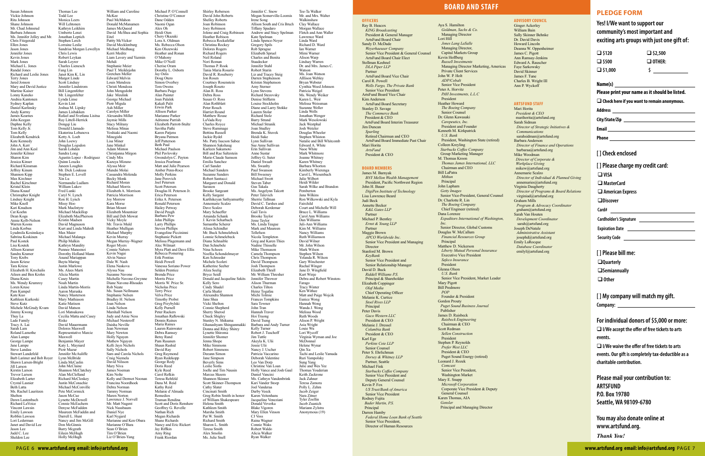Page 6 **www.artsfund.org email: info@artsfund.org www.artsfund.org email: info@artsfund.org** Page 7

**Officers**

Ray B. Heacox *KING Broadcasting* President & General Manager ArtsFund Board Chair Sandy D. McDade *Weyerhaeuser Company* Senior Vice President & General Counsel ArtsFund Board Chair Elect Stellman Keehnel *DLA Piper LLP* Partner ArtsFund Board Vice Chair Carol R. Powell *Wells Fargo, The Private Bank* Senior Vice President ArtsFund Board Vice Chair Kim Anderson ArtsFund Board Secretary Stanley D. Savage *The Commerce Bank* President & CEO ArtsFund Board Interim Treasurer Jim Duncan *Sparling* Retired Chairman and CEO ArtsFund Board Immediate Past Chair Mari Horita *ArtsFund*  President & CEO **Board Members** James M. Barnyak *BNY Mellon Wealth Management* President, Pacific Northwest Region John H. Bauer *DigiPen Institute of Technology* Lisa Lawrence Beard Judi Beck Annette Becker *K&L Gates LLP* Partner Michael P. Bentley *Ernst & Young LLP* Partner Maggie Brown *APCO Worldwide Inc.* Senior Vice President and Managing **Director** Stanford M. Brown *KeyBank* Senior Vice President and Senior Relationship Manage David D. Buck *Riddell Williams P.S.* Principal & Shareholder Elizabeth Coppinger *Olaf Media* Chief Operating Officer Melanie K. Curtice *Stoel Rives LLP* Principal Peter Davis *Gaco Western LLC* President & CEO Melanie J. Dressel *Columbia Bank* President & CEO Karl Ege *Perkins Coie LLP* Senior Counsel Peter S. Ehrlichman *Dorsey & Whitney LLP* Partner, Seattle Michael Fink *Starbucks Coffee Company* Senior Vice President and Deputy General Counsel Kevin P. Fox *US Trust/Bank of America* Senior Vice President Rodney Fujita *Bader Martin, P.S.* Principal Darren Hamby *Federal Home Loan Bank of Seattle* Senior Vice President, Director of Human Resources

Aya S. Hamilton *Goldman, Sachs & Co.*

Managing Director Lori Hill *Jones Lang LaSalle* Managing Director, Capital Markets Group Kevin Hoffberg **Russell Investment** Managing Director Marketing, Americas Private Client Services John W. P. Holt *ADP/Cobalt* Senior Vice Presiden Peter A. Horvitz *PAH Investments, L.L.C* President Heather Howard *The Boeing Company* Senior Counsel Dr. Glenn Kawasaki *Carepeutics, Inc.* President and Founder Kenneth M. Kirkpatrick *U.S. Bank* President, Washington State (retired) Colleen Kreyling *Starbucks Coffee Company* Group Marketing Manager M. Thomas Kroon *Thomas James International, LLC*  Chairman and CEO Bill LaPatra *Mithun* Principal John Lapham *Getty Images* Senior Vice-President, General Counsel Dr. Charlotte R. Lin *The Boeing Company* Chief Engineer (retired) Dana Lorenze *Expeditors International of Washington, Inc.* Senior Director, Global Customs Douglas W. McCallum *Financial Resources Group* Principal Matthew D. Nickerson *Liberty Mutual Personal Insurance* Executive Vice President *Safeco Insurance* President Glenna Olson *U.S. Bank* Senior Vice President, Market Leader Mary Pigott Bill Predmore *POP* Founder & President Gordon Prouty *Puget Sound Business Journal* Publisher James D. Raisbeck *Raisbeck Engineering* Chairman & CEO Scott Redman *Sellen Construction* President Stephen P. Reynolds *Prefer West LLC* President & CEO Puget Sound Energy (retired) Leonard J. Rozek *Comcast* Senior Vice President, Washington Market Mary E. Snapp **Microsoft Corporatio** Corporate Vice President & Deputy General Counsel Karen Thomas, AIA *Gensler* Principal and Managing Director

Susan Johnson Vickie Johnson Rita Johnson Shane Johnson Mr. Chad Johnsrud Barbara Johnson Ms. Jennifer Jolley and Mr. Chris Fitzgerald Ellen Jones Jason Jones Jennifer Jones Kevin Jones Mark Jones Michael L. Jones Randal Jones Richard and Leslie Jones Terry Jones Jared Jonson Mary and David Justice Martine Kaiser Lonny Kaneko Andrea Kantonen Sydney Kaplan Daniel Karlinsky Andy Karmy James Kearnes John Keegan Daphne Kelly Tom Kelly Jr. Tom Kelly Elizabeth Kendrick Kate Kennedy John A. Kerr Jim and Ann Kesl Jennifer Kilmer Sharon Kim Jessica Kinser Richard Kinsman Jeffrey Kinum Shannon Kipp Max Kirchner Rachel Kirschner Kristal Klein Diana Knauf Christopher Knight Lindsay Knight Mike Knoll Kari Knudson Cat Koehn Dean Koga Annie Kolb-Nelson Warren Koons Linda Korbus Lyudmila Kosinskaya Sabrina Koskinen Paul Kostek Lisa Koutek Allison Kramer Sandra Kramer Tony Krebs Jason Kriese Tara Kriese Elizabeth H. Krochalis Aileen and Ben Krohn Diana Kruis Ms. Wendy Krumroy Loren Kruse Pam Kumpel Kate Kuo Kathleen Kurkoski Steve Kutz Michele McGrady Kvam Jimmy Kwong Thuy La Lade Family Tracy A. Lai Sarah Lam Roland Lamothe Alan Lampe George Lampe Jane Lampe Steve Landau Stewart Landefeld Barb Larimer and Bob Royer Shawn Larsen-Bright Jill Larson Kirstin Larson Trevor Larson Elizabeth Larter Crystal Lasnier Beth Latta Ms. Rachel Lauritzen Shelton Dawn Lautenbach Richard LaVoice Vincent Lawsin Emily Lawson Robbin Lawson Lori Lederman Janet and David Lee Jason Lee Judd C. Lee Sheldon Le

#### **ADVISORY Council**

Ginger Ackerley William Bain Sally Skinner Behnke Dr. David Davis Howard Lincoln Deanna W. Oppenheimer James C. Pigott Ann Ramsay-Jenkins Edward A. Rauscher Faye Sarkowsky David Skinner James F. Tune Charles B. Wright III Ann P. Wyckoff

#### **ARTSFUND STAFF**

Mari Horita *President & CEO* [marihorita@artsfund.org](mailto:marihorita@artsfund.org) Sarah Sidman *Director of Strategic Initiatives & Communicatio* sarahsidman@artsfund.org Barbara Anderson *Director of Finance and Operations* barbaraa@artsfund.org Mike Woodman *Director of Corporate & Workplace Giving* [mikew@artsfund.org](mailto:mikew@artsfund.org) Annemarie Scalzo *Director of Individual & Planned Giving* [annemaries@artsfund.org](mailto:annemaries@artsfund.org) Virginia Daugherty *Director of Programs & Board Relations*  [virginiad@artsfund.org](mailto:virginiad@artsfund.org) Graham Mills *Program & Advocacy Coordinator* [graham@artsfund.org](mailto:graham@artsfund.org) Sarah Van Houten *Development Coordinator* [sarah@artsfund.org](mailto:sarah@artsfund.org) Joseph DeNatale *Administrative Assistant* josephd@artsfund.org Emily LaRocque *Database Coordinator* emilyl@artsfund.org

David McShea and Sophia Liam Lavery and Yazmin Elizabeth A. Morrison Megan Murray-Wagne Michelle Navone-Gwynne Diane Navone-Rhoades Sam and Carola Nichols Kelly and Dermot Noonan Marianne and Ken Obara Liz O'Brien-Yang Michael P. O'Connell Christine O'Connor Dane Odden Naomi Ogan Alex Oh Heidi Oien Chery Okazaki Lora A. Oldman Ms. Rebecca Olson Ken Olszewski Heather and Ronan O'Mahony Mike O'Neill Cherise Oram Dorothy L. Osborn Jay Ostis Doug Otero Simon Overbey Tom Owens Barbara Paige Alan Painter Joan Palalek Kakali Palit Erwin Park Allison Parker Marianne Parker Adrienne Parrish Elizabeth Parrott-Stultz Savitha Pathi Karen Patjens Bryana Patmon Jeff Patterson Beth Paul Michael Paulson Phil Pavlovsky Gwendolyn C. Payton Jessica Pearlman Matt and Julie Pearson Amber Penn-Roce Molly Perkins Jane Perovich Joel Petersen Scott Petersen Douglas H. Peterson Jr. Erica Peterson Erika A. Peterson Ronald Peterson Hailey Petway David Peugh Barbara Pew John Phillips Larry Phillips Steven Phillips Evangeline Piccininn Stephanie Pickett Melissa Plagemann and Alec Wilmart Myra Platt and Dave Ellis Rebecca Pomering Erik Pontius Heidi Powell Vanessa Soriano Power Selden Prentice Brenda Price Morris Price Morris W. Price Sr. Nicholas Price Terry Price Velva Price Timothy Probst Greg Przybylski Kelly Purnell Peter Rackers Jonathan Raflowski Dennis Raines Maria Raines Lauren Rainwater Debra Ramsey Betsy Rand Pam Rasanen Shaun Rashid David Ray Greg Raymond Ryan Redekopp George Redy Doris Reed Kyle Reed Carol Refkin Teresa Rehfeld Dana M. Reid Kathy Reid Melanie d'Almada Remedios Truman Rendina Scott and Doris Renshaw Geoffrey G. Revelle Nathan Rich Megan Richards Shane Richards Nancy and Eric Rickert Jay Riffkin Amy Ring Frank Riorda

### **Pledge Form**

### **Yes! I/We want to support our community's most important and exciting arts groups with just one gift of:**

| □ \$120           |  |
|-------------------|--|
| $\square$ \$500   |  |
| $\square$ \$1,000 |  |

q **\$2,500**

 **\$** 

| OTHE. |
|-------|
|-------|

| N | lam<br>æ |  |
|---|----------|--|

**Please print your name as it should be listed.**

q **Check here if you want to remain anonymous.**

**City/State/Zip**

**Email**

**Phone**

#### **[ ] Check enclosed**

#### **[ ] Please charge my credit card:**

- q **VISA**
- q **MasterCard**
- q **American Express**

q**Discover**

 **Card#** 

 **Cardholder's Signature**

**Expiration Date** 

 **Security Code**

#### **[ ] Please bill me:**

q**Quarterly** q**Semiannually**

□ Other

**[ ] My company will match my gift. Company:** 

#### **For individual donors of \$5,000 or more:**

q **I/We accept the offer of free tickets to arts events.**

q **I/We waive the offer of free tickets to arts events. Our gift is completely tax-deductible as a charitable contribution.**

**Please mail your contribution to: ARTSFUND P.O. Box 19780 Seattle, WA 98109-6780**

**You may also donate online at www.artsfund.org.** *Thank You!*

## **board and Staff**

Xin Lu

Riske

Thomas Lee Todd Lee Monica Leers Will Lehtonen Kathryn Leikhim Umberto Lenzi Jonathan Leptich Stephen Lerch Lorraine Leslie Sandrisa Morgan Lewellyn Chris Lewis Robert Leykan Sarah Leyrer Charles Lienesch Fang Lin Janet Kim K. Lin Margot Linde Scott Lindsay Jennifer Lindstrom Bill Lingenfelter Mr. Lingenfelter Lynda Linse Kevin Lint Joshua M. Lipsky James Lisbakken Rafael and Svetlana Lisitsa Ray Littell-Herrick Dongqi Liu Donald Llamado Ekaterina Lobanova Ketty A. Loeb John Loewy Douglas Logsdon Sarah Lohden Sandra Long Agustin Lopez - Rodriguez Quinn Loucks Janeen Loughin Mr. Dick Loukusa Stephen E. Lovell Normandie Ludlam William Lukov Fred Lunki Caryl N. Lynch Ron H. Lynch Missy Hoo Mark MacIntyr Michael Mackillop Elizabeth MacPherson Kristin Madsen David Magnus Kurt and Linda Mahrdt Max Maier Michael Malanga Philip Malkin Kathryn Mandity Punnee Maneenoi Dorothy Holland Mann Anand Mariappa Bayta Maring Justin Marlowe Ms. Alees Marti Alicia Martin Casey Martin Noah Martin Linda Martin-Morri Aaron Maruska Nancy Masterson Mary Mathiason Katie Matison David Matson Lori Matsukawa Cecilia Matta and Casey David Mauermann Dolores Maxwell Representative Marcie Maxwell Benjamin Mayer Katy L. Maynard Piotr Mazur Jennifer McAuliffe Lynn McBride Linda McCaslin John McClaine Shannon McClatchey Alan McClelland Richard McCloskey Justin McConachi Michael McConville Pete McCormick Jason McCue Lynette McDowel Connie McEacher Denyse McFadden Maureen McFaddin and Darrell L. Hunt Nancy and Jim McGill Don McGinnis Barry Mcgrath Eileen McHugh William and Caroline McKee Paul McMahon Donald McManan James McQueed Eitel Pattty McVicker David Mecklenburg Michael Medhaug Kerri Meditz Mehdi Stephanie Meier Paul T. Meiklejohn Gretchen Meller Edward Melvin Louis Mendoza Christi Mendoza John Mengedoht Jake Meulink George Michael Piotr Migula Ash Miller Carolyn Miller Alexandra Miller Jaymie Mills Stacy Milrany Melissa Minas Yoshiaki and Naom Minegishi Lisa Miner Jane Minkel Adam Minton Christianna Mirgor Cindy Mix Kazuya Mizuno Alyssa Moir Mundsi Molai Cassandra Molenda Becky Monk Richard Moran Michael Morris Patricia Morrison Joy Morrow Kara Morse Brian Mount Elizabeth Mountsier Bill and Deb Mowat Vicky Moyle Mr. Travis Muld Heather Mulligan Michael Murphy Kevin Murray Roger Myers Connie Nabors Kevin Nagai Alvin Nance Dale W. Nash Elena Naskova Alyssa Nau Suzanne Navone Rob Neate Ms. Susan Nellman Stephanie Nelsen Bradley H. Nelson Joan Nelson Linda Nelson Marshall Nelson Judy and Arnie Ness Michael Nesteroff Daisha Neville Jean Newman Mary Newton Holly Nguyen Mathew Nguyen Kelli Jayn Nichols Sally Nichols Craig Niemela David Nilsson Mary Niva James Noeman Kim Nolte Francina Noordhoek Debra Norman Tammy Norman Maren Norton Lawrence J. Norvell Mr. Matt Nugent Nick Nussbaum Daniel Nye Karl Nygard Marianne O'Bara Sean O'Brien Tim O'Brien

Holly McHugh

Shirley Roberson David John Roberts Shelley Roberts Joan Robinson Joey Robinson Jolene and Craig Robinson Heather Robison Rebecca Rockafella Christina Rockey Dolores Rogers Richard Rogers Neil Roland Nori Roman Thomas P. Rook Tania Maria Rosario David R. Roseberry Jon Rosen Courtney Rosenstein Joseph Roseto Alan R. Ross Debra Ross Susan O. Ross Alan Rothblatt Peter Rouch Harriet Round Matthew Rouse LaVada Roy Charles Royce Steve Rummage Bettina Russell Jackie Rydel Ms. Patty Isacson Sabee Shannon Sakshaug Karleen Sakumoto Bill and Rae Saltzstein Marie-Claude Samson Emilia Sanchez Carl Sander Michael Sanders Suzanne Sanders Robert Santucci Margaret and Donald Sarason Brooke Sargeant Kelly Sargent Karthikeyan Sathyamurthy Annemarie Scalzo Dave Scalzo Mary Schaeffer Amanda Schank J. Kevin Scharbach Samantha Scherer Alissa Schindler Mr. Buck Schmelebeck Lonnie Schmelebeck Diana Schnaible Dan Schnebele Nina Schoen Noellia Schondel Ken Schreeder Michele Scoleri Katherine Seeber Aliza Seelig Bryce Seidl Donald and Jacqueline Sekits Kelly Sero Cindy Shadel Carla Shafer Alexandra Shannon Jane Shea Vicki Shelton Connie Shepherd Sherry Sherod Chuck Shigley Stanley N. Shikuma Ghanashyam Shinganmakki Donna and Riley Shirey Lynette Shiroma nnifer Shomer Jenna Shope Mike Simmons Robert Simmons Deeann Simon Jane Simpson Beverly Sims Leslie Sistla Joelle and Tim Nausin Marcus Skeem Shannon Skinner Scott Skinner-Thompson Cathy Slater Cincinati Smith Greg Robin Smith in honor of William Shakespeare Helena Smith Kathleen Smith Marsha Smith Pat W. Smith Richard Smith Sharon L. Smith Teresa Smith Alex Smolin

Ms. Julie Snell

Jennifer C. Snow Megan Somerville-Loomis Irene Song Allison South and Cris Bruch Tiffany Spadaro Andrew and Stacy Spelman Kate Spelman Linda Spence-Nove Gregory Spils Rob Sprague Elizabeth Spruel Charles and Benita Staadecker Jennifer Stahl Robert Starin Liz and Tracey Steig Darren Stephenson Kristen Stephenson Amy Sterner Lynn Stevens Richard Stezovsky Denise Stiffarm Louise Stockholm Diane and Larry Stokke Lauren Stolar Richard Stolz Barry Strand Michael Stranik Joan Studley Brenda K. Stuvel Heidi Suke Lynn Sullivan Sue Anne Sullivan Erin Sullivan Anne Sustar Jeffrey G. Suter Daniel Swaab Ms. Swanby Paul Swanson Bill Sweeney Michael Swett Steven Taber Gus Takala Ms. Angelynn Talcott Peter Talevich Sherrie Tallman David C. Tarshes and Deborah Kerdemar Gail Tavis Brooke Taylor Jesse Taylor Ms. Linda Teague Mark and Maureen Tellefson Nicola Templeton Greg and Karen Thies Nadine Thisselle Mike Thomason Camela Thompson Chris Thompson David Thompson Josh Thompson Elizabeth Thrall Mr. William Thresher Jennifer Thrower Alison Thurman Charles Tilton Heinz Togafau Michi Tolmie Frances Tompkins Sara Towner John Tran Hannah Traver Hoi Truong David Tseng Barbara and Andy Turner Kelly Turner Robert J. Tuschof Jim Tuttle Akeyla K. Ulii Jessie Ulii Nancy J. Uscher Patricia Vaccarino Deborah Valentine Leo Van Dorp Christine Van Loan Holly Vance and Josh Gaul Daniel Vancini Ms. Cathryn Vandenbrink Kari Vander Stoep Joel Vanderaa Darby Veeck Karen Veitenhans Jacqueline Veneziani Donald Veverka Blake Vigoren Mary Ellen Vinson CJ Voss Raina Wagner Connie Waks Robert Waldo Alicia Walker Ryan Walker

Tee-Ta Walker Mr. and Mrs. Walter Walkinshaw Clay Wallace Morgan Wallace Fletch and Ann Waller Lawrence Ward Linda Ward Richard D. Ward Ian Warner Mimi Warner Alison Warp Lindsay Warren Dr. and Mrs. James C. Watson Ms. Joan Watson Alllison Webley Bryan Webster Cynthia Weed Johnson Patricia Weigel Ms. Wendy Weiker Karen L. Weir Melissa Weissman Suzanne Weller Linda Wells Jonathan Wenger Mark Wesolowski Jack Westphal Josh Wetzler Douglas Wheeler Stephen Whiston Natalie and Bill Whitcomb Edward A. White Naoe White Mark Whitmore Joanne Whitney Karen Whitney Barbara Whorton Kimberly Wierenga Carol L. Wiesenbach Julie Wilbert Heidi Wilder Sarah Wilke and Brandon Pemberton Jana Wilkins Ron Wilkowski and Kyla Fairchild Court and Michelle Will Bruce L. Williams Carol Ann Williams Dan Williams Juli-Ann Williams Kim M. Williams Nancy Williams Ruth Williamson David Wilner Mr. John Wilson Mark Wilson Stephen Wilson Yolanda R. Wilson Gary Winchester Rachal Winger Jane D. Wingfield Kurt Winje Debra and Robert Winston-Farago Tracy Winter Ken Withee Matt and Paige Wojcik Eunice Wong Hannah Wong Wanda J. Won Melissa Wood Ruth Woods Alison P. Wright Asia Wright Louie Wu Lori Wycoff Virginia Wyman and Joe McDonnal Helene Wynar Qin Xu Tachi and Leslie Yamada Ruri Yampolsky Sung Yang Julie and Wes Yee Thomas Youderian Keith Zackrone Jack Zahner Teresa Zamora Polly L. Zehm Jacob Zeiger Nara Zitner Tyler Zoellin Jacob Zuanich Mariann Zylstra Anonymous (19)